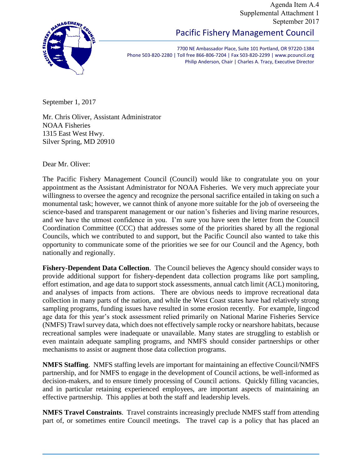Agenda Item A.4 Supplemental Attachment 1 September 2017



Pacific Fishery Management Council

7700 NE Ambassador Place, Suite 101 Portland, OR 97220-1384 Phone 503-820-2280 | Toll free 866-806-7204 | Fax 503-820-2299 | www.pcouncil.org Philip Anderson, Chair | Charles A. Tracy, Executive Director

September 1, 2017

Mr. Chris Oliver, Assistant Administrator NOAA Fisheries 1315 East West Hwy. Silver Spring, MD 20910

Dear Mr. Oliver:

The Pacific Fishery Management Council (Council) would like to congratulate you on your appointment as the Assistant Administrator for NOAA Fisheries. We very much appreciate your willingness to oversee the agency and recognize the personal sacrifice entailed in taking on such a monumental task; however, we cannot think of anyone more suitable for the job of overseeing the science-based and transparent management or our nation's fisheries and living marine resources, and we have the utmost confidence in you. I'm sure you have seen the letter from the Council Coordination Committee (CCC) that addresses some of the priorities shared by all the regional Councils, which we contributed to and support, but the Pacific Council also wanted to take this opportunity to communicate some of the priorities we see for our Council and the Agency, both nationally and regionally.

**Fishery-Dependent Data Collection**. The Council believes the Agency should consider ways to provide additional support for fishery-dependent data collection programs like port sampling, effort estimation, and age data to support stock assessments, annual catch limit (ACL) monitoring, and analyses of impacts from actions. There are obvious needs to improve recreational data collection in many parts of the nation, and while the West Coast states have had relatively strong sampling programs, funding issues have resulted in some erosion recently. For example, lingcod age data for this year's stock assessment relied primarily on National Marine Fisheries Service (NMFS) Trawl survey data, which does not effectively sample rocky or nearshore habitats, because recreational samples were inadequate or unavailable. Many states are struggling to establish or even maintain adequate sampling programs, and NMFS should consider partnerships or other mechanisms to assist or augment those data collection programs.

**NMFS Staffing**. NMFS staffing levels are important for maintaining an effective Council/NMFS partnership, and for NMFS to engage in the development of Council actions, be well-informed as decision-makers, and to ensure timely processing of Council actions. Quickly filling vacancies, and in particular retaining experienced employees, are important aspects of maintaining an effective partnership. This applies at both the staff and leadership levels.

**NMFS Travel Constraints**. Travel constraints increasingly preclude NMFS staff from attending part of, or sometimes entire Council meetings. The travel cap is a policy that has placed an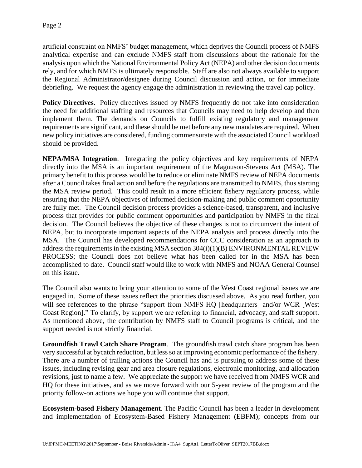artificial constraint on NMFS' budget management, which deprives the Council process of NMFS analytical expertise and can exclude NMFS staff from discussions about the rationale for the analysis upon which the National Environmental Policy Act (NEPA) and other decision documents rely, and for which NMFS is ultimately responsible. Staff are also not always available to support the Regional Administrator/designee during Council discussion and action, or for immediate debriefing. We request the agency engage the administration in reviewing the travel cap policy.

**Policy Directives**. Policy directives issued by NMFS frequently do not take into consideration the need for additional staffing and resources that Councils may need to help develop and then implement them. The demands on Councils to fulfill existing regulatory and management requirements are significant, and these should be met before any new mandates are required. When new policy initiatives are considered, funding commensurate with the associated Council workload should be provided.

**NEPA/MSA Integration**. Integrating the policy objectives and key requirements of NEPA directly into the MSA is an important requirement of the Magnuson-Stevens Act (MSA). The primary benefit to this process would be to reduce or eliminate NMFS review of NEPA documents after a Council takes final action and before the regulations are transmitted to NMFS, thus starting the MSA review period. This could result in a more efficient fishery regulatory process, while ensuring that the NEPA objectives of informed decision-making and public comment opportunity are fully met. The Council decision process provides a science-based, transparent, and inclusive process that provides for public comment opportunities and participation by NMFS in the final decision. The Council believes the objective of these changes is not to circumvent the intent of NEPA, but to incorporate important aspects of the NEPA analysis and process directly into the MSA. The Council has developed recommendations for CCC consideration as an approach to address the requirements in the existing MSA section 304(i)(1)(B) ENVIRONMENTAL REVIEW PROCESS; the Council does not believe what has been called for in the MSA has been accomplished to date. Council staff would like to work with NMFS and NOAA General Counsel on this issue.

The Council also wants to bring your attention to some of the West Coast regional issues we are engaged in. Some of these issues reflect the priorities discussed above. As you read further, you will see references to the phrase "support from NMFS HQ [headquarters] and/or WCR [West] Coast Region]." To clarify, by support we are referring to financial, advocacy, and staff support. As mentioned above, the contribution by NMFS staff to Council programs is critical, and the support needed is not strictly financial.

**Groundfish Trawl Catch Share Program**. The groundfish trawl catch share program has been very successful at bycatch reduction, but less so at improving economic performance of the fishery. There are a number of trailing actions the Council has and is pursuing to address some of these issues, including revising gear and area closure regulations, electronic monitoring, and allocation revisions, just to name a few. We appreciate the support we have received from NMFS WCR and HQ for these initiatives, and as we move forward with our 5-year review of the program and the priority follow-on actions we hope you will continue that support.

**Ecosystem-based Fishery Management**. The Pacific Council has been a leader in development and implementation of Ecosystem-Based Fishery Management (EBFM); concepts from our